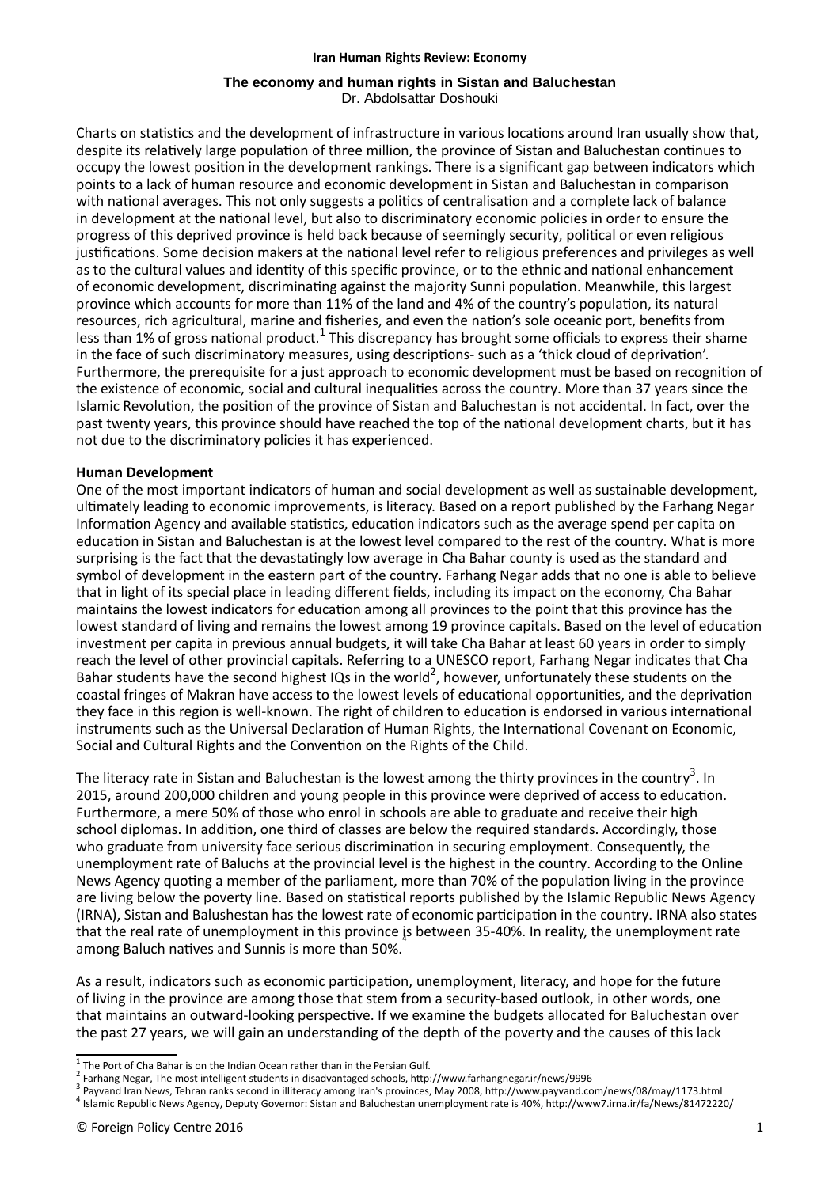#### **Iran Human Rights Review: Economy**

#### **The economy and human rights in Sistan and Baluchestan** Dr. Abdolsattar Doshouki

Charts on statistics and the development of infrastructure in various locations around Iran usually show that, despite its relatively large population of three million, the province of Sistan and Baluchestan continues to occupy the lowest position in the development rankings. There is a significant gap between indicators which points to a lack of human resource and economic development in Sistan and Baluchestan in comparison with national averages. This not only suggests a politics of centralisation and a complete lack of balance in development at the national level, but also to discriminatory economic policies in order to ensure the progress of this deprived province is held back because of seemingly security, polical or even religious justifications. Some decision makers at the national level refer to religious preferences and privileges as well as to the cultural values and identity of this specific province, or to the ethnic and national enhancement of economic development, discriminating against the majority Sunni population. Meanwhile, this largest province which accounts for more than 11% of the land and 4% of the country's population, its natural resources, rich agricultural, marine and fisheries, and even the nation's sole oceanic port, benefits from less than 1% of gross national product.<sup>1</sup> This discrepancy has brought some officials to express their shame in the face of such discriminatory measures, using descriptions- such as a 'thick cloud of deprivation'. Furthermore, the prerequisite for a just approach to economic development must be based on recognition of the existence of economic, social and cultural inequalities across the country. More than 37 years since the Islamic Revolution, the position of the province of Sistan and Baluchestan is not accidental. In fact, over the past twenty years, this province should have reached the top of the national development charts, but it has not due to the discriminatory policies it has experienced.

### **Human Development**

One of the most important indicators of human and social development as well as sustainable development, ulmately leading to economic improvements, is literacy. Based on a report published by the Farhang Negar Information Agency and available statistics, education indicators such as the average spend per capita on education in Sistan and Baluchestan is at the lowest level compared to the rest of the country. What is more surprising is the fact that the devastatingly low average in Cha Bahar county is used as the standard and symbol of development in the eastern part of the country. Farhang Negar adds that no one is able to believe that in light of its special place in leading different fields, including its impact on the economy, Cha Bahar maintains the lowest indicators for education among all provinces to the point that this province has the lowest standard of living and remains the lowest among 19 province capitals. Based on the level of education investment per capita in previous annual budgets, it will take Cha Bahar at least 60 years in order to simply reach the level of other provincial capitals. Referring to a UNESCO report, Farhang Negar indicates that Cha Bahar students have the second highest IQs in the world<sup>2</sup>, however, unfortunately these students on the coastal fringes of Makran have access to the lowest levels of educational opportunities, and the deprivation they face in this region is well-known. The right of children to education is endorsed in various international instruments such as the Universal Declaration of Human Rights, the International Covenant on Economic, Social and Cultural Rights and the Convention on the Rights of the Child.

The literacy rate in Sistan and Baluchestan is the lowest among the thirty provinces in the country<sup>3</sup>. In 2015, around 200,000 children and young people in this province were deprived of access to education. Furthermore, a mere 50% of those who enrol in schools are able to graduate and receive their high school diplomas. In addition, one third of classes are below the required standards. Accordingly, those who graduate from university face serious discrimination in securing employment. Consequently, the unemployment rate of Baluchs at the provincial level is the highest in the country. According to the Online News Agency quoting a member of the parliament, more than 70% of the population living in the province are living below the poverty line. Based on statistical reports published by the Islamic Republic News Agency (IRNA), Sistan and Balushestan has the lowest rate of economic participation in the country. IRNA also states that the real rate of unemployment in this province is between 35-40%. In reality, the unemployment rate among Baluch natives and Sunnis is more than 50%.

As a result, indicators such as economic participation, unemployment, literacy, and hope for the future of living in the province are among those that stem from a security-based outlook, in other words, one that maintains an outward-looking perspective. If we examine the budgets allocated for Baluchestan over the past 27 years, we will gain an understanding of the depth of the poverty and the causes of this lack

 $\frac{1}{2}$  The Port of Cha Bahar is on the Indian Ocean rather than in the Persian Gulf.

<sup>&</sup>lt;sup>2</sup> Farhang Negar, The most intelligent students in disadvantaged schools, http://www.farhangnegar.ir/news/9996

<sup>&</sup>lt;sup>3</sup> Payvand Iran News, Tehran ranks second in illiteracy among Iran's provinces, May 2008, http://www.payvand.com/news/08/may/1173.html

<sup>&</sup>lt;sup>4</sup> Islamic Republic News Agency, Deputy Governor: Sistan and Baluchestan unemployment rate is 40%, http://www7.irna.ir/fa/News/81472220/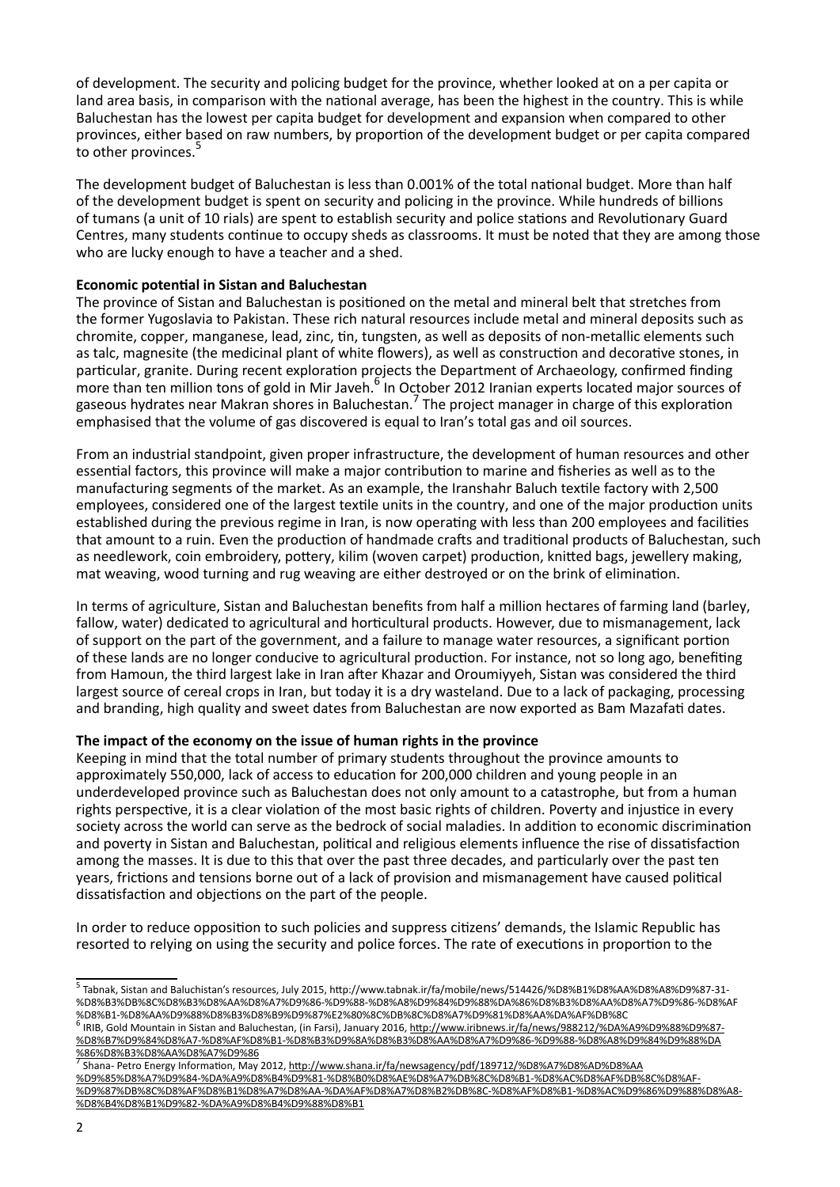of development. The security and policing budget for the province, whether looked at on a per capita or land area basis, in comparison with the national average, has been the highest in the country. This is while Baluchestan has the lowest per capita budget for development and expansion when compared to other provinces, either based on raw numbers, by proportion of the development budget or per capita compared to other provinces.<sup>5</sup>

The development budget of Baluchestan is less than 0.001% of the total national budget. More than half of the development budget is spent on security and policing in the province. While hundreds of billions of tumans (a unit of 10 rials) are spent to establish security and police stations and Revolutionary Guard Centres, many students continue to occupy sheds as classrooms. It must be noted that they are among those who are lucky enough to have a teacher and a shed.

# **Economic potential in Sistan and Baluchestan**

The province of Sistan and Baluchestan is positioned on the metal and mineral belt that stretches from the former Yugoslavia to Pakistan. These rich natural resources include metal and mineral deposits such as chromite, copper, manganese, lead, zinc, tin, tungsten, as well as deposits of non-metallic elements such as talc, magnesite (the medicinal plant of white flowers), as well as construction and decorative stones, in particular, granite. During recent exploration projects the Department of Archaeology, confirmed finding more than ten million tons of gold in Mir Javen.<sup>6</sup> In October 2012 Iranian experts located major sources of gaseous hydrates near Makran shores in Baluchestan.<sup>7</sup> The project manager in charge of this exploration emphasised that the volume of gas discovered is equal to Iran's total gas and oil sources.

From an industrial standpoint, given proper infrastructure, the development of human resources and other essential factors, this province will make a major contribution to marine and fisheries as well as to the manufacturing segments of the market. As an example, the Iranshahr Baluch textile factory with 2,500 employees, considered one of the largest textile units in the country, and one of the major production units established during the previous regime in Iran, is now operating with less than 200 employees and facilities that amount to a ruin. Even the production of handmade crafts and traditional products of Baluchestan, such as needlework, coin embroidery, pottery, kilim (woven carpet) production, knitted bags, jewellery making, mat weaving, wood turning and rug weaving are either destroyed or on the brink of elimination.

In terms of agriculture, Sistan and Baluchestan benefits from half a million hectares of farming land (barley, fallow, water) dedicated to agricultural and horticultural products. However, due to mismanagement, lack of support on the part of the government, and a failure to manage water resources, a significant portion of these lands are no longer conducive to agricultural production. For instance, not so long ago, benefiting from Hamoun, the third largest lake in Iran after Khazar and Oroumiyyeh, Sistan was considered the third largest source of cereal crops in Iran, but today it is a dry wasteland. Due to a lack of packaging, processing and branding, high quality and sweet dates from Baluchestan are now exported as Bam Mazafati dates.

## **The impact of the economy on the issue of human rights in the province**

Keeping in mind that the total number of primary students throughout the province amounts to approximately 550,000, lack of access to education for 200,000 children and young people in an underdeveloped province such as Baluchestan does not only amount to a catastrophe, but from a human rights perspective, it is a clear violation of the most basic rights of children. Poverty and injustice in every society across the world can serve as the bedrock of social maladies. In addition to economic discrimination and poverty in Sistan and Baluchestan, political and religious elements influence the rise of dissatisfaction among the masses. It is due to this that over the past three decades, and particularly over the past ten years, frictions and tensions borne out of a lack of provision and mismanagement have caused political dissatisfaction and objections on the part of the people.

In order to reduce opposition to such policies and suppress citizens' demands, the Islamic Republic has resorted to relying on using the security and police forces. The rate of executions in proportion to the

<u>%86%D8%B3%D8%AA%D8%A7%D9%86</u><br><sup>7</sup> Shana- Petro Energy Information, May 2012, <u>http://www.shana.ir/fa/newsagency/pdf/189712/%D8%A7%D8%AD%D8%AA</u> %D9%85%D8%A7%D9%84-%DA%A9%D8%B4%D9%81-%D8%B0%D8%AE%D8%A7%DB%8C%D8%B1-%D8%AC%D8%AF%DB%8C%D8%AF- %D9%87%DB%8C%D8%AF%D8%B1%D8%A7%D8%AA-%DA%AF%D8%A7%D8%B2%DB%8C-%D8%AF%D8%B1-%D8%AC%D9%86%D9%88%D8%A8- %D8%B4%D8%B1%D9%82-%DA%A9%D8%B4%D9%88%D8%B1

<sup>5</sup> Tabnak, Sistan and Baluchistan's resources, July 2015, http://www.tabnak.ir/fa/mobile/news/514426/%D8%B1%D8%AA%D8%A8%D9%87-31-%D8%B3%DB%8C%D8%B3%D8%AA%D8%A7%D9%86-%D9%88-%D8%A8%D9%84%D9%88%DA%86%D8%B3%D8%AA%D8%A7%D9%86-%D8%AF %D8%B1-%D8%AA%D9%88%D8%B3%D8%B9%D9%87%E2%80%8C%DB%8C%D8%A7%D9%81%D8%AA%DA%AF%DB%8C

<sup>&</sup>lt;sup>6</sup> IRIB, Gold Mountain in Sistan and Baluchestan, (in Farsi), January 2016, http://www.iribnews.ir/fa/news/988212/%DA%A9%D9%88%D9%87-%D8%B7%D9%84%D8%A7-%D8%AF%D8%B1-%D8%B3%D9%8A%D8%B3%D8%AA%D8%A7%D9%86-%D9%88-%D8%A8%D9%84%D9%88%DA